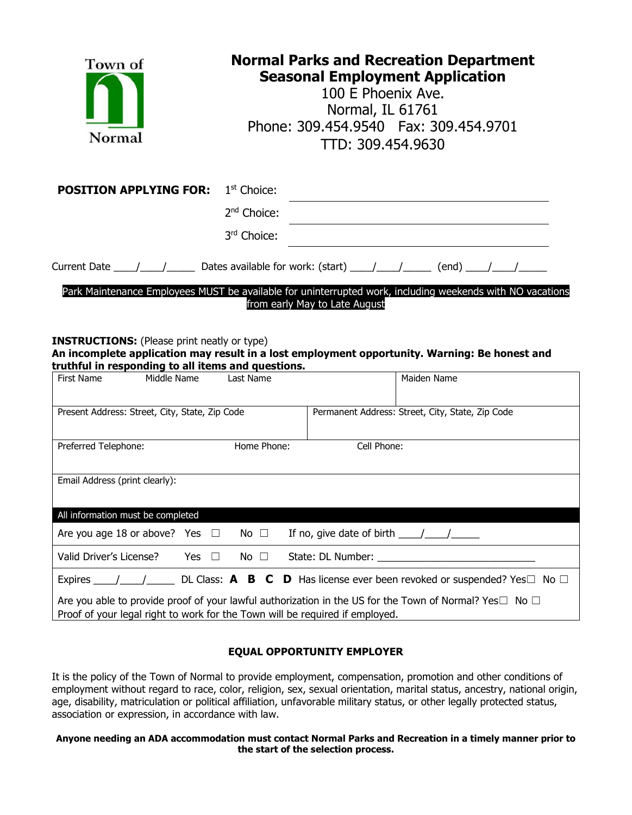| Town of<br>Normal                                                                                                                                                                                         | <b>Normal Parks and Recreation Department</b><br><b>Seasonal Employment Application</b><br>100 E Phoenix Ave.<br>Normal, IL 61761<br>Phone: 309.454.9540  Fax: 309.454.9701<br>TTD: 309.454.9630 |                                                            |                                                                                                               |
|-----------------------------------------------------------------------------------------------------------------------------------------------------------------------------------------------------------|--------------------------------------------------------------------------------------------------------------------------------------------------------------------------------------------------|------------------------------------------------------------|---------------------------------------------------------------------------------------------------------------|
| <b>POSITION APPLYING FOR:</b>                                                                                                                                                                             | 1 <sup>st</sup> Choice:                                                                                                                                                                          |                                                            |                                                                                                               |
|                                                                                                                                                                                                           | 2 <sup>nd</sup> Choice:                                                                                                                                                                          |                                                            |                                                                                                               |
|                                                                                                                                                                                                           | 3rd Choice:                                                                                                                                                                                      |                                                            |                                                                                                               |
|                                                                                                                                                                                                           |                                                                                                                                                                                                  |                                                            |                                                                                                               |
| <b>INSTRUCTIONS:</b> (Please print neatly or type)<br>An incomplete application may result in a lost employment opportunity. Warning: Be honest and<br>truthful in responding to all items and questions. |                                                                                                                                                                                                  | from early May to Late August                              | Park Maintenance Employees MUST be available for uninterrupted work, including weekends with NO vacations     |
| <b>First Name</b><br>Middle Name                                                                                                                                                                          | Last Name                                                                                                                                                                                        |                                                            | Maiden Name                                                                                                   |
| Present Address: Street, City, State, Zip Code                                                                                                                                                            |                                                                                                                                                                                                  |                                                            | Permanent Address: Street, City, State, Zip Code                                                              |
| Preferred Telephone:                                                                                                                                                                                      | Home Phone:                                                                                                                                                                                      | Cell Phone:                                                |                                                                                                               |
| Email Address (print clearly):                                                                                                                                                                            |                                                                                                                                                                                                  |                                                            |                                                                                                               |
| All information must be completed                                                                                                                                                                         |                                                                                                                                                                                                  |                                                            |                                                                                                               |
| Are you age 18 or above? Yes<br>Ш                                                                                                                                                                         | No $\square$                                                                                                                                                                                     | If no, give date of birth $\frac{1}{\sqrt{1-\frac{1}{2}}}$ |                                                                                                               |
| Valid Driver's License?<br>Yes<br>$\Box$                                                                                                                                                                  | No $\square$                                                                                                                                                                                     |                                                            |                                                                                                               |
|                                                                                                                                                                                                           |                                                                                                                                                                                                  |                                                            | Expires ____/_____/ DL Class: <b>A B C D</b> Has license ever been revoked or suspended? Yes $\Box$ No $\Box$ |
| Are you able to provide proof of your lawful authorization in the US for the Town of Normal? Yes $\square$ No $\square$<br>Proof of your legal right to work for the Town will be required if employed.   |                                                                                                                                                                                                  |                                                            |                                                                                                               |
|                                                                                                                                                                                                           |                                                                                                                                                                                                  |                                                            |                                                                                                               |

#### **EQUAL OPPORTUNITY EMPLOYER**

It is the policy of the Town of Normal to provide employment, compensation, promotion and other conditions of employment without regard to race, color, religion, sex, sexual orientation, marital status, ancestry, national origin, age, disability, matriculation or political affiliation, unfavorable military status, or other legally protected status, association or expression, in accordance with law.

#### **Anyone needing an ADA accommodation must contact Normal Parks and Recreation in a timely manner prior to the start of the selection process.**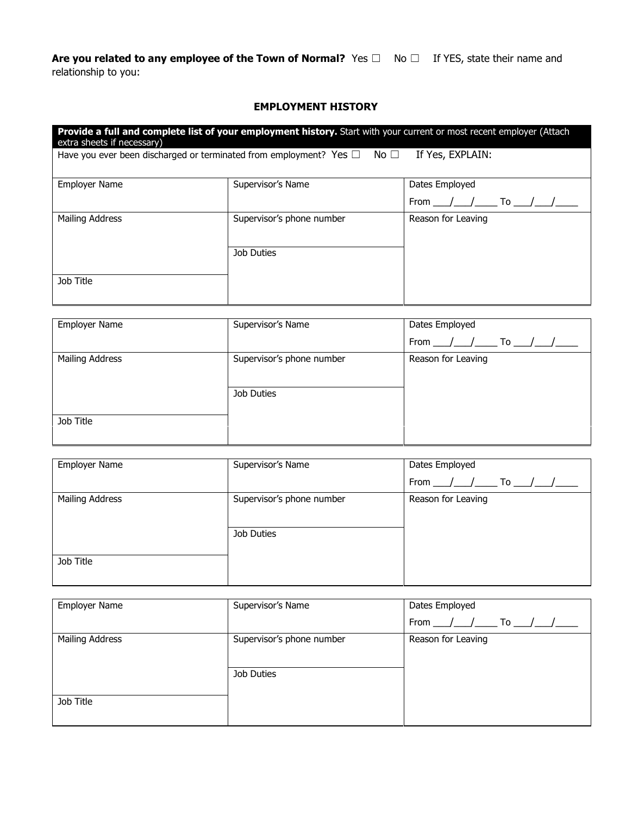Are you related to any employee of the Town of Normal? Yes □ No □ If YES, state their name and relationship to you:

#### **EMPLOYMENT HISTORY**

| Provide a full and complete list of your employment history. Start with your current or most recent employer (Attach<br>extra sheets if necessary) |                                                                                         |                    |  |  |
|----------------------------------------------------------------------------------------------------------------------------------------------------|-----------------------------------------------------------------------------------------|--------------------|--|--|
|                                                                                                                                                    | Have you ever been discharged or terminated from employment? Yes $\square$ No $\square$ | If Yes, EXPLAIN:   |  |  |
| <b>Employer Name</b>                                                                                                                               | Supervisor's Name                                                                       | Dates Employed     |  |  |
|                                                                                                                                                    |                                                                                         | / / To / /<br>From |  |  |
| Mailing Address                                                                                                                                    | Supervisor's phone number                                                               | Reason for Leaving |  |  |
|                                                                                                                                                    | Job Duties                                                                              |                    |  |  |
| Job Title                                                                                                                                          |                                                                                         |                    |  |  |

| Supervisor's Name<br>Dates Employed |                                                   |
|-------------------------------------|---------------------------------------------------|
|                                     | From $\frac{1}{\sqrt{2}}$ To $\frac{1}{\sqrt{2}}$ |
| Supervisor's phone number           | Reason for Leaving                                |
|                                     |                                                   |
| Job Duties                          |                                                   |
|                                     |                                                   |
|                                     |                                                   |
|                                     |                                                   |

| <b>Employer Name</b>   | Supervisor's Name         | Dates Employed                                    |
|------------------------|---------------------------|---------------------------------------------------|
|                        |                           | From $\frac{1}{\sqrt{2}}$ To $\frac{1}{\sqrt{2}}$ |
| <b>Mailing Address</b> | Supervisor's phone number | Reason for Leaving                                |
|                        |                           |                                                   |
|                        | Job Duties                |                                                   |
| Job Title              |                           |                                                   |
|                        |                           |                                                   |

| <b>Employer Name</b>   | Supervisor's Name         | Dates Employed      |
|------------------------|---------------------------|---------------------|
|                        |                           | From $/$ $/$ To $/$ |
| <b>Mailing Address</b> | Supervisor's phone number | Reason for Leaving  |
|                        |                           |                     |
|                        | Job Duties                |                     |
|                        |                           |                     |
| Job Title              |                           |                     |
|                        |                           |                     |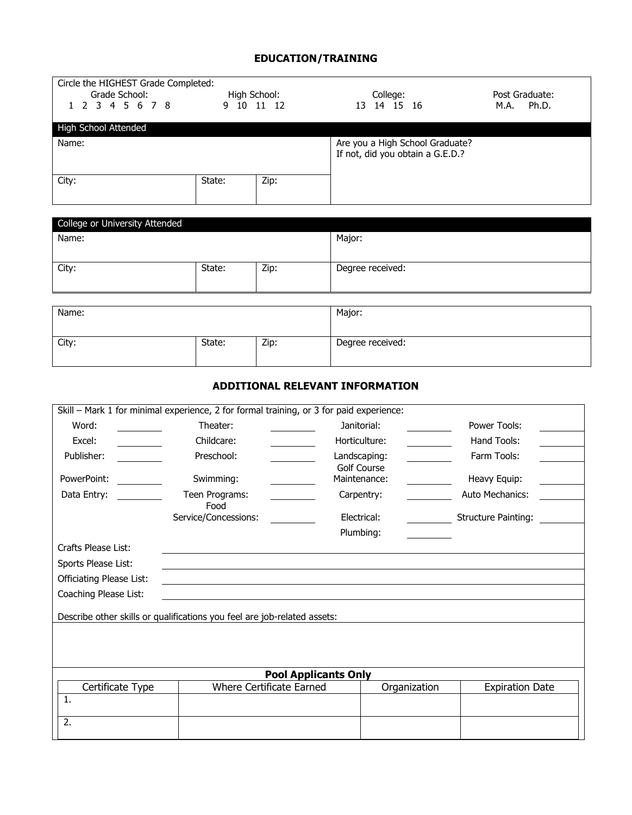### **EDUCATION/TRAINING**

| Circle the HIGHEST Grade Completed:<br>Grade School: |            | High School: | College:                                                                                | Post Graduate: |
|------------------------------------------------------|------------|--------------|-----------------------------------------------------------------------------------------|----------------|
| 1 2 3 4 5 6 7 8                                      |            | 9 10 11 12   | 13 14 15 16                                                                             | M.A. Ph.D.     |
| High School Attended                                 |            |              |                                                                                         |                |
| Name:                                                |            |              | Are you a High School Graduate?<br>If not, did you obtain a G.E.D.?                     |                |
| City:                                                | State:     | Zip:         |                                                                                         |                |
| College or University Attended                       |            |              |                                                                                         |                |
| Name:                                                |            |              | Major:                                                                                  |                |
| City:                                                | State:     | Zip:         | Degree received:                                                                        |                |
|                                                      |            |              |                                                                                         |                |
| Name:                                                |            |              | Major:                                                                                  |                |
| City:                                                | State:     | Zip:         | Degree received:                                                                        |                |
|                                                      |            |              | <b>ADDITIONAL RELEVANT INFORMATION</b>                                                  |                |
|                                                      |            |              | Skill - Mark 1 for minimal experience, 2 for formal training, or 3 for paid experience: |                |
| Word:                                                | Theater:   |              | Janitorial:                                                                             | Power Tools:   |
| Excel:                                               | Childcare: |              | Horticulture:                                                                           | Hand Tools:    |
| Publisher:                                           | Preschool: |              | Landscaping:                                                                            | Farm Tools:    |

|                                 |                                                                          | -anassapnigi                | .                          |
|---------------------------------|--------------------------------------------------------------------------|-----------------------------|----------------------------|
| PowerPoint:                     | Swimming:                                                                | Golf Course<br>Maintenance: | Heavy Equip:               |
| Data Entry:                     | Teen Programs:                                                           | Carpentry:                  | Auto Mechanics:            |
|                                 | Food                                                                     |                             |                            |
|                                 | Service/Concessions:                                                     | Electrical:                 | <b>Structure Painting:</b> |
|                                 |                                                                          | Plumbing:                   |                            |
| Crafts Please List:             |                                                                          |                             |                            |
| Sports Please List:             |                                                                          |                             |                            |
| <b>Officiating Please List:</b> |                                                                          |                             |                            |
| Coaching Please List:           |                                                                          |                             |                            |
|                                 |                                                                          |                             |                            |
|                                 | Describe other skills or qualifications you feel are job-related assets: |                             |                            |
|                                 |                                                                          |                             |                            |

| <b>Pool Applicants Only</b>                                                            |  |  |  |  |  |
|----------------------------------------------------------------------------------------|--|--|--|--|--|
| Where Certificate Earned<br>Organization<br><b>Expiration Date</b><br>Certificate Type |  |  |  |  |  |
|                                                                                        |  |  |  |  |  |
|                                                                                        |  |  |  |  |  |
| <u>.</u>                                                                               |  |  |  |  |  |
|                                                                                        |  |  |  |  |  |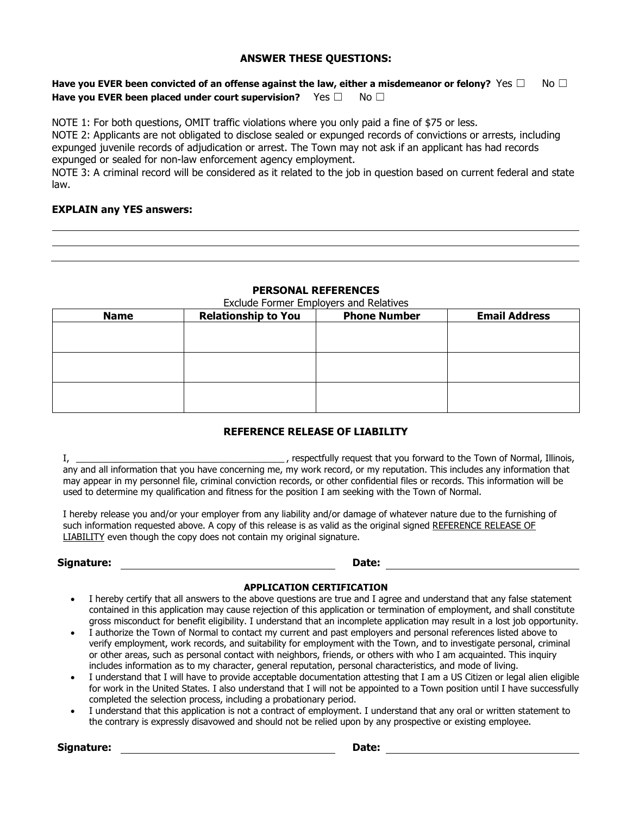#### **ANSWER THESE QUESTIONS:**

#### **Have you EVER been convicted of an offense against the law, either a misdemeanor or felony?** Yes □ No □ **Have you EVER been placed under court supervision?** Yes □ No □

NOTE 1: For both questions, OMIT traffic violations where you only paid a fine of \$75 or less.

NOTE 2: Applicants are not obligated to disclose sealed or expunged records of convictions or arrests, including expunged juvenile records of adjudication or arrest. The Town may not ask if an applicant has had records expunged or sealed for non-law enforcement agency employment.

NOTE 3: A criminal record will be considered as it related to the job in question based on current federal and state law.

#### **EXPLAIN any YES answers:**

| ,一个人的人都是一个人的人,我们就是一个人的人,我们就是一个人的人,我们就是一个人的人,我们就是一个人的人,我们就是一个人的人,我们就是一个人的人,我们就是一个 |  |  |
|----------------------------------------------------------------------------------|--|--|
|                                                                                  |  |  |
| ,一个人的人都是一个人的人,一个人的人,一个人的人,一个人的人,一个人的人,一个人的人,一个人的人,一个人的人,一个人的人,一个人的人,一个人的人,一个人的人, |  |  |

#### **PERSONAL REFERENCES**

| Exclude Former Employers and Relatives<br><b>Relationship to You</b><br><b>Email Address</b><br><b>Phone Number</b><br><b>Name</b> |  |  |  |  |  |  |
|------------------------------------------------------------------------------------------------------------------------------------|--|--|--|--|--|--|
|                                                                                                                                    |  |  |  |  |  |  |
|                                                                                                                                    |  |  |  |  |  |  |
|                                                                                                                                    |  |  |  |  |  |  |
|                                                                                                                                    |  |  |  |  |  |  |
|                                                                                                                                    |  |  |  |  |  |  |
|                                                                                                                                    |  |  |  |  |  |  |
|                                                                                                                                    |  |  |  |  |  |  |
|                                                                                                                                    |  |  |  |  |  |  |
|                                                                                                                                    |  |  |  |  |  |  |

#### **REFERENCE RELEASE OF LIABILITY**

I, \_\_\_\_\_\_\_\_\_\_\_\_\_\_\_\_\_\_\_\_\_\_\_\_\_\_\_\_\_\_\_\_\_\_\_\_\_\_\_\_\_ , respectfully request that you forward to the Town of Normal, Illinois, any and all information that you have concerning me, my work record, or my reputation. This includes any information that may appear in my personnel file, criminal conviction records, or other confidential files or records. This information will be used to determine my qualification and fitness for the position I am seeking with the Town of Normal.

I hereby release you and/or your employer from any liability and/or damage of whatever nature due to the furnishing of such information requested above. A copy of this release is as valid as the original signed REFERENCE RELEASE OF LIABILITY even though the copy does not contain my original signature.

**Signature:** Date: Date: Date: Date: Date: Date: Date: Date: Date: Date: Date: Date: Date: Date: Date: Date: Date: Date: Date: Date: Date: Date: Date: Date: Date: Date: Date: Date: Date: Date: Date: Date: Date: Date: Date:

#### **APPLICATION CERTIFICATION**

- I hereby certify that all answers to the above questions are true and I agree and understand that any false statement contained in this application may cause rejection of this application or termination of employment, and shall constitute gross misconduct for benefit eligibility. I understand that an incomplete application may result in a lost job opportunity.
- I authorize the Town of Normal to contact my current and past employers and personal references listed above to verify employment, work records, and suitability for employment with the Town, and to investigate personal, criminal or other areas, such as personal contact with neighbors, friends, or others with who I am acquainted. This inquiry includes information as to my character, general reputation, personal characteristics, and mode of living.
- I understand that I will have to provide acceptable documentation attesting that I am a US Citizen or legal alien eligible for work in the United States. I also understand that I will not be appointed to a Town position until I have successfully completed the selection process, including a probationary period.
- I understand that this application is not a contract of employment. I understand that any oral or written statement to the contrary is expressly disavowed and should not be relied upon by any prospective or existing employee.

**Signature:**  $\qquad \qquad$  **Date:**  $\qquad \qquad$